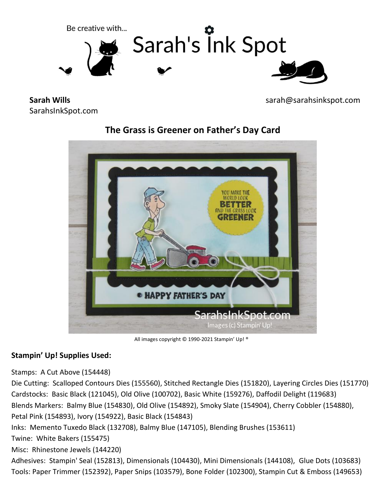

**Sarah Wills** SarahsInkSpot.com sarah@sarahsinkspot.com



## **The Grass is Greener on Father's Day Card**

All images copyright © 1990-2021 Stampin' Up! ®

### **Stampin' Up! Supplies Used:**

Stamps: A Cut Above (154448)

Die Cutting: Scalloped Contours Dies (155560), Stitched Rectangle Dies (151820), Layering Circles Dies (151770) Cardstocks: Basic Black (121045), Old Olive (100702), Basic White (159276), Daffodil Delight (119683) Blends Markers: Balmy Blue (154830), Old Olive (154892), Smoky Slate (154904), Cherry Cobbler (154880), Petal Pink (154893), Ivory (154922), Basic Black (154843) Inks: Memento Tuxedo Black (132708), Balmy Blue (147105), Blending Brushes (153611)

Twine: White Bakers (155475)

Misc: Rhinestone Jewels (144220)

Adhesives: Stampin' Seal (152813), Dimensionals (104430), Mini Dimensionals (144108), Glue Dots (103683) Tools: Paper Trimmer (152392), Paper Snips (103579), Bone Folder (102300), Stampin Cut & Emboss (149653)